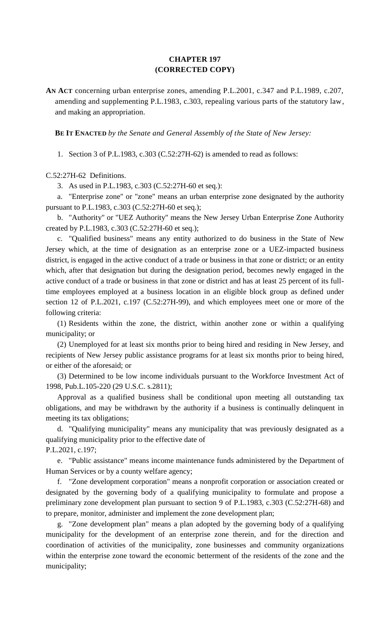# **CHAPTER 197 (CORRECTED COPY)**

**AN ACT** concerning urban enterprise zones, amending P.L.2001, c.347 and P.L.1989, c.207, amending and supplementing P.L.1983, c.303, repealing various parts of the statutory law, and making an appropriation.

**BE IT ENACTED** *by the Senate and General Assembly of the State of New Jersey:*

1. Section 3 of P.L.1983, c.303 (C.52:27H-62) is amended to read as follows:

## C.52:27H-62 Definitions.

3. As used in P.L.1983, c.303 (C.52:27H-60 et seq.):

a. "Enterprise zone" or "zone" means an urban enterprise zone designated by the authority pursuant to P.L.1983, c.303 (C.52:27H-60 et seq.);

b. "Authority" or "UEZ Authority" means the New Jersey Urban Enterprise Zone Authority created by P.L.1983, c.303 (C.52:27H-60 et seq.);

c. "Qualified business" means any entity authorized to do business in the State of New Jersey which, at the time of designation as an enterprise zone or a UEZ-impacted business district, is engaged in the active conduct of a trade or business in that zone or district; or an entity which, after that designation but during the designation period, becomes newly engaged in the active conduct of a trade or business in that zone or district and has at least 25 percent of its fulltime employees employed at a business location in an eligible block group as defined under section 12 of P.L.2021, c.197 (C.52:27H-99), and which employees meet one or more of the following criteria:

(1) Residents within the zone, the district, within another zone or within a qualifying municipality; or

(2) Unemployed for at least six months prior to being hired and residing in New Jersey, and recipients of New Jersey public assistance programs for at least six months prior to being hired, or either of the aforesaid; or

(3) Determined to be low income individuals pursuant to the Workforce Investment Act of 1998, Pub.L.105-220 (29 U.S.C. s.2811);

Approval as a qualified business shall be conditional upon meeting all outstanding tax obligations, and may be withdrawn by the authority if a business is continually delinquent in meeting its tax obligations;

d. "Qualifying municipality" means any municipality that was previously designated as a qualifying municipality prior to the effective date of P.L.2021, c.197;

e. "Public assistance" means income maintenance funds administered by the Department of Human Services or by a county welfare agency;

f. "Zone development corporation" means a nonprofit corporation or association created or designated by the governing body of a qualifying municipality to formulate and propose a preliminary zone development plan pursuant to section 9 of P.L.1983, c.303 (C.52:27H-68) and to prepare, monitor, administer and implement the zone development plan;

g. "Zone development plan" means a plan adopted by the governing body of a qualifying municipality for the development of an enterprise zone therein, and for the direction and coordination of activities of the municipality, zone businesses and community organizations within the enterprise zone toward the economic betterment of the residents of the zone and the municipality;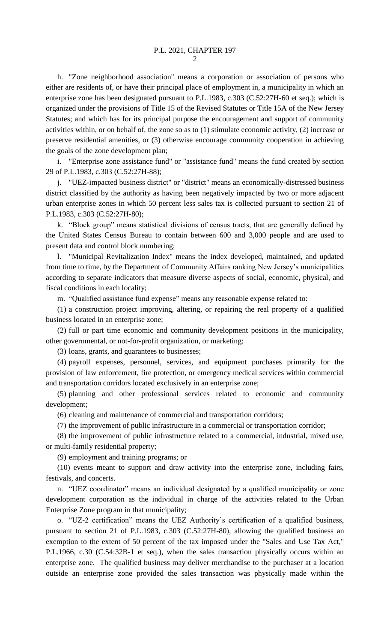h. "Zone neighborhood association" means a corporation or association of persons who either are residents of, or have their principal place of employment in, a municipality in which an enterprise zone has been designated pursuant to P.L.1983, c.303 (C.52:27H-60 et seq.); which is organized under the provisions of Title 15 of the Revised Statutes or Title 15A of the New Jersey Statutes; and which has for its principal purpose the encouragement and support of community activities within, or on behalf of, the zone so as to (1) stimulate economic activity, (2) increase or preserve residential amenities, or (3) otherwise encourage community cooperation in achieving the goals of the zone development plan;

i. "Enterprise zone assistance fund" or "assistance fund" means the fund created by section 29 of P.L.1983, c.303 (C.52:27H-88);

j. "UEZ-impacted business district" or "district" means an economically-distressed business district classified by the authority as having been negatively impacted by two or more adjacent urban enterprise zones in which 50 percent less sales tax is collected pursuant to section 21 of P.L.1983, c.303 (C.52:27H-80);

k. "Block group" means statistical divisions of census tracts, that are generally defined by the United States Census Bureau to contain between 600 and 3,000 people and are used to present data and control block numbering;

l. "Municipal Revitalization Index" means the index developed, maintained, and updated from time to time, by the Department of Community Affairs ranking New Jersey's municipalities according to separate indicators that measure diverse aspects of social, economic, physical, and fiscal conditions in each locality;

m. "Qualified assistance fund expense" means any reasonable expense related to:

(1) a construction project improving, altering, or repairing the real property of a qualified business located in an enterprise zone;

(2) full or part time economic and community development positions in the municipality, other governmental, or not-for-profit organization, or marketing;

(3) loans, grants, and guarantees to businesses;

(4) payroll expenses, personnel, services, and equipment purchases primarily for the provision of law enforcement, fire protection, or emergency medical services within commercial and transportation corridors located exclusively in an enterprise zone;

(5) planning and other professional services related to economic and community development;

(6) cleaning and maintenance of commercial and transportation corridors;

(7) the improvement of public infrastructure in a commercial or transportation corridor;

(8) the improvement of public infrastructure related to a commercial, industrial, mixed use, or multi-family residential property;

(9) employment and training programs; or

(10) events meant to support and draw activity into the enterprise zone, including fairs, festivals, and concerts.

n. "UEZ coordinator" means an individual designated by a qualified municipality or zone development corporation as the individual in charge of the activities related to the Urban Enterprise Zone program in that municipality;

o. "UZ-2 certification" means the UEZ Authority's certification of a qualified business, pursuant to section 21 of P.L.1983, c.303 (C.52:27H-80), allowing the qualified business an exemption to the extent of 50 percent of the tax imposed under the "Sales and Use Tax Act," P.L.1966, c.30 (C.54:32B-1 et seq.), when the sales transaction physically occurs within an enterprise zone. The qualified business may deliver merchandise to the purchaser at a location outside an enterprise zone provided the sales transaction was physically made within the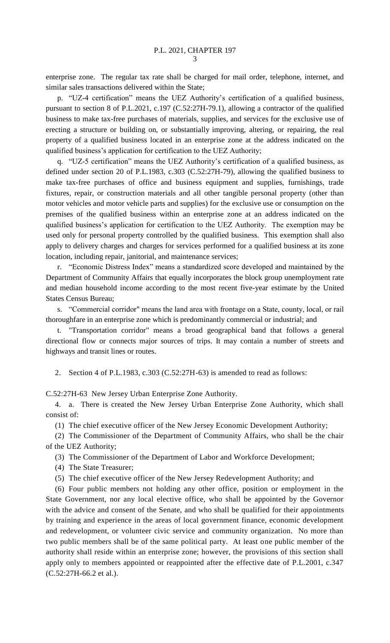enterprise zone. The regular tax rate shall be charged for mail order, telephone, internet, and similar sales transactions delivered within the State;

p. "UZ-4 certification" means the UEZ Authority's certification of a qualified business, pursuant to section 8 of P.L.2021, c.197 (C.52:27H-79.1), allowing a contractor of the qualified business to make tax-free purchases of materials, supplies, and services for the exclusive use of erecting a structure or building on, or substantially improving, altering, or repairing, the real property of a qualified business located in an enterprise zone at the address indicated on the qualified business's application for certification to the UEZ Authority;

q. "UZ-5 certification" means the UEZ Authority's certification of a qualified business, as defined under section 20 of P.L.1983, c.303 (C.52:27H-79), allowing the qualified business to make tax-free purchases of office and business equipment and supplies, furnishings, trade fixtures, repair, or construction materials and all other tangible personal property (other than motor vehicles and motor vehicle parts and supplies) for the exclusive use or consumption on the premises of the qualified business within an enterprise zone at an address indicated on the qualified business's application for certification to the UEZ Authority. The exemption may be used only for personal property controlled by the qualified business. This exemption shall also apply to delivery charges and charges for services performed for a qualified business at its zone location, including repair, janitorial, and maintenance services;

r. "Economic Distress Index" means a standardized score developed and maintained by the Department of Community Affairs that equally incorporates the block group unemployment rate and median household income according to the most recent five-year estimate by the United States Census Bureau;

s. "Commercial corridor" means the land area with frontage on a State, county, local, or rail thoroughfare in an enterprise zone which is predominantly commercial or industrial; and

t. "Transportation corridor" means a broad geographical band that follows a general directional flow or connects major sources of trips. It may contain a number of streets and highways and transit lines or routes.

2. Section 4 of P.L.1983, c.303 (C.52:27H-63) is amended to read as follows:

C.52:27H-63 New Jersey Urban Enterprise Zone Authority.

4. a. There is created the New Jersey Urban Enterprise Zone Authority, which shall consist of:

(1) The chief executive officer of the New Jersey Economic Development Authority;

(2) The Commissioner of the Department of Community Affairs, who shall be the chair of the UEZ Authority;

(3) The Commissioner of the Department of Labor and Workforce Development;

(4) The State Treasurer;

(5) The chief executive officer of the New Jersey Redevelopment Authority; and

(6) Four public members not holding any other office, position or employment in the State Government, nor any local elective office, who shall be appointed by the Governor with the advice and consent of the Senate, and who shall be qualified for their appointments by training and experience in the areas of local government finance, economic development and redevelopment, or volunteer civic service and community organization. No more than two public members shall be of the same political party. At least one public member of the authority shall reside within an enterprise zone; however, the provisions of this section shall apply only to members appointed or reappointed after the effective date of P.L.2001, c.347 (C.52:27H-66.2 et al.).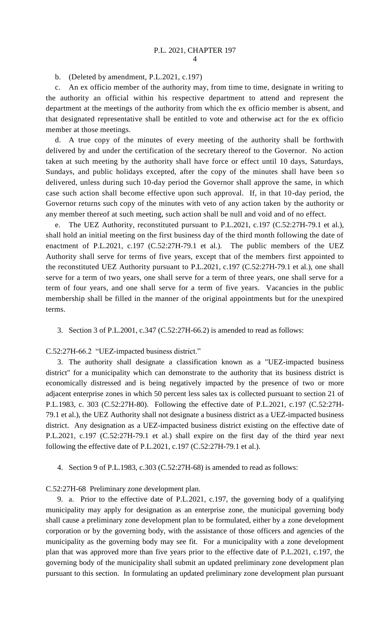b. (Deleted by amendment, P.L.2021, c.197)

c. An ex officio member of the authority may, from time to time, designate in writing to the authority an official within his respective department to attend and represent the department at the meetings of the authority from which the ex officio member is absent, and that designated representative shall be entitled to vote and otherwise act for the ex officio member at those meetings.

d. A true copy of the minutes of every meeting of the authority shall be forthwith delivered by and under the certification of the secretary thereof to the Governor. No action taken at such meeting by the authority shall have force or effect until 10 days, Saturdays, Sundays, and public holidays excepted, after the copy of the minutes shall have been so delivered, unless during such 10-day period the Governor shall approve the same, in which case such action shall become effective upon such approval. If, in that 10-day period, the Governor returns such copy of the minutes with veto of any action taken by the authority or any member thereof at such meeting, such action shall be null and void and of no effect.

e. The UEZ Authority, reconstituted pursuant to P.L.2021, c.197 (C.52:27H-79.1 et al.), shall hold an initial meeting on the first business day of the third month following the date of enactment of P.L.2021, c.197 (C.52:27H-79.1 et al.). The public members of the UEZ Authority shall serve for terms of five years, except that of the members first appointed to the reconstituted UEZ Authority pursuant to P.L.2021, c.197 (C.52:27H-79.1 et al.), one shall serve for a term of two years, one shall serve for a term of three years, one shall serve for a term of four years, and one shall serve for a term of five years. Vacancies in the public membership shall be filled in the manner of the original appointments but for the unexpired terms.

3. Section 3 of P.L.2001, c.347 (C.52:27H-66.2) is amended to read as follows:

C.52:27H-66.2 "UEZ-impacted business district."

3. The authority shall designate a classification known as a "UEZ-impacted business district" for a municipality which can demonstrate to the authority that its business district is economically distressed and is being negatively impacted by the presence of two or more adjacent enterprise zones in which 50 percent less sales tax is collected pursuant to section 21 of P.L.1983, c. 303 (C.52:27H-80). Following the effective date of P.L.2021, c.197 (C.52:27H-79.1 et al.), the UEZ Authority shall not designate a business district as a UEZ-impacted business district. Any designation as a UEZ-impacted business district existing on the effective date of P.L.2021, c.197 (C.52:27H-79.1 et al.) shall expire on the first day of the third year next following the effective date of P.L.2021, c.197 (C.52:27H-79.1 et al.).

4. Section 9 of P.L.1983, c.303 (C.52:27H-68) is amended to read as follows:

#### C.52:27H-68 Preliminary zone development plan.

9. a. Prior to the effective date of P.L.2021, c.197, the governing body of a qualifying municipality may apply for designation as an enterprise zone, the municipal governing body shall cause a preliminary zone development plan to be formulated, either by a zone development corporation or by the governing body, with the assistance of those officers and agencies of the municipality as the governing body may see fit. For a municipality with a zone development plan that was approved more than five years prior to the effective date of P.L.2021, c.197, the governing body of the municipality shall submit an updated preliminary zone development plan pursuant to this section. In formulating an updated preliminary zone development plan pursuant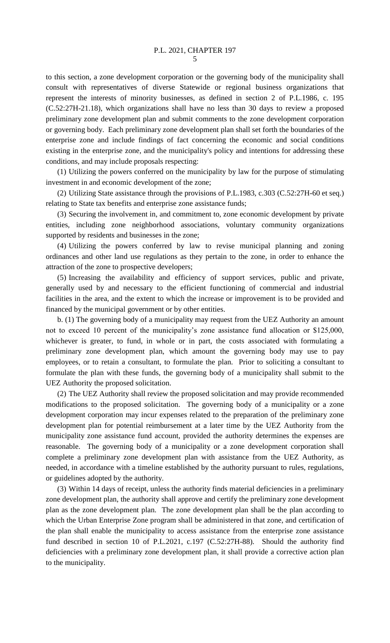to this section, a zone development corporation or the governing body of the municipality shall consult with representatives of diverse Statewide or regional business organizations that represent the interests of minority businesses, as defined in section 2 of P.L.1986, c. 195 (C.52:27H-21.18), which organizations shall have no less than 30 days to review a proposed preliminary zone development plan and submit comments to the zone development corporation or governing body. Each preliminary zone development plan shall set forth the boundaries of the enterprise zone and include findings of fact concerning the economic and social conditions existing in the enterprise zone, and the municipality's policy and intentions for addressing these conditions, and may include proposals respecting:

(1) Utilizing the powers conferred on the municipality by law for the purpose of stimulating investment in and economic development of the zone;

(2) Utilizing State assistance through the provisions of P.L.1983, c.303 (C.52:27H-60 et seq.) relating to State tax benefits and enterprise zone assistance funds;

(3) Securing the involvement in, and commitment to, zone economic development by private entities, including zone neighborhood associations, voluntary community organizations supported by residents and businesses in the zone;

(4) Utilizing the powers conferred by law to revise municipal planning and zoning ordinances and other land use regulations as they pertain to the zone, in order to enhance the attraction of the zone to prospective developers;

(5) Increasing the availability and efficiency of support services, public and private, generally used by and necessary to the efficient functioning of commercial and industrial facilities in the area, and the extent to which the increase or improvement is to be provided and financed by the municipal government or by other entities.

b. (1) The governing body of a municipality may request from the UEZ Authority an amount not to exceed 10 percent of the municipality's zone assistance fund allocation or \$125,000, whichever is greater, to fund, in whole or in part, the costs associated with formulating a preliminary zone development plan, which amount the governing body may use to pay employees, or to retain a consultant, to formulate the plan. Prior to soliciting a consultant to formulate the plan with these funds, the governing body of a municipality shall submit to the UEZ Authority the proposed solicitation.

(2) The UEZ Authority shall review the proposed solicitation and may provide recommended modifications to the proposed solicitation. The governing body of a municipality or a zone development corporation may incur expenses related to the preparation of the preliminary zone development plan for potential reimbursement at a later time by the UEZ Authority from the municipality zone assistance fund account, provided the authority determines the expenses are reasonable. The governing body of a municipality or a zone development corporation shall complete a preliminary zone development plan with assistance from the UEZ Authority, as needed, in accordance with a timeline established by the authority pursuant to rules, regulations, or guidelines adopted by the authority.

(3) Within 14 days of receipt, unless the authority finds material deficiencies in a preliminary zone development plan, the authority shall approve and certify the preliminary zone development plan as the zone development plan. The zone development plan shall be the plan according to which the Urban Enterprise Zone program shall be administered in that zone, and certification of the plan shall enable the municipality to access assistance from the enterprise zone assistance fund described in section 10 of P.L.2021, c.197 (C.52:27H-88). Should the authority find deficiencies with a preliminary zone development plan, it shall provide a corrective action plan to the municipality.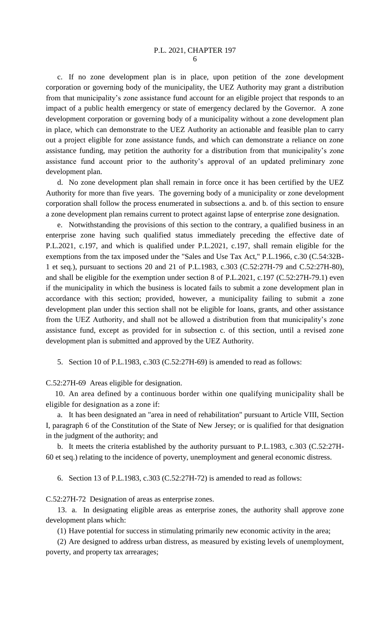c. If no zone development plan is in place, upon petition of the zone development corporation or governing body of the municipality, the UEZ Authority may grant a distribution from that municipality's zone assistance fund account for an eligible project that responds to an impact of a public health emergency or state of emergency declared by the Governor. A zone development corporation or governing body of a municipality without a zone development plan in place, which can demonstrate to the UEZ Authority an actionable and feasible plan to carry out a project eligible for zone assistance funds, and which can demonstrate a reliance on zone assistance funding, may petition the authority for a distribution from that municipality's zone assistance fund account prior to the authority's approval of an updated preliminary zone development plan.

d. No zone development plan shall remain in force once it has been certified by the UEZ Authority for more than five years. The governing body of a municipality or zone development corporation shall follow the process enumerated in subsections a. and b. of this section to ensure a zone development plan remains current to protect against lapse of enterprise zone designation.

e. Notwithstanding the provisions of this section to the contrary, a qualified business in an enterprise zone having such qualified status immediately preceding the effective date of P.L.2021, c.197, and which is qualified under P.L.2021, c.197, shall remain eligible for the exemptions from the tax imposed under the "Sales and Use Tax Act," P.L.1966, c.30 (C.54:32B-1 et seq.), pursuant to sections 20 and 21 of P.L.1983, c.303 (C.52:27H-79 and C.52:27H-80), and shall be eligible for the exemption under section 8 of P.L.2021, c.197 (C.52:27H-79.1) even if the municipality in which the business is located fails to submit a zone development plan in accordance with this section; provided, however, a municipality failing to submit a zone development plan under this section shall not be eligible for loans, grants, and other assistance from the UEZ Authority, and shall not be allowed a distribution from that municipality's zone assistance fund, except as provided for in subsection c. of this section, until a revised zone development plan is submitted and approved by the UEZ Authority.

5. Section 10 of P.L.1983, c.303 (C.52:27H-69) is amended to read as follows:

C.52:27H-69 Areas eligible for designation.

10. An area defined by a continuous border within one qualifying municipality shall be eligible for designation as a zone if:

a. It has been designated an "area in need of rehabilitation" pursuant to Article VIII, Section I, paragraph 6 of the Constitution of the State of New Jersey; or is qualified for that designation in the judgment of the authority; and

b. It meets the criteria established by the authority pursuant to P.L.1983, c.303 (C.52:27H-60 et seq.) relating to the incidence of poverty, unemployment and general economic distress.

6. Section 13 of P.L.1983, c.303 (C.52:27H-72) is amended to read as follows:

C.52:27H-72 Designation of areas as enterprise zones.

13. a. In designating eligible areas as enterprise zones, the authority shall approve zone development plans which:

(1) Have potential for success in stimulating primarily new economic activity in the area;

(2) Are designed to address urban distress, as measured by existing levels of unemployment, poverty, and property tax arrearages;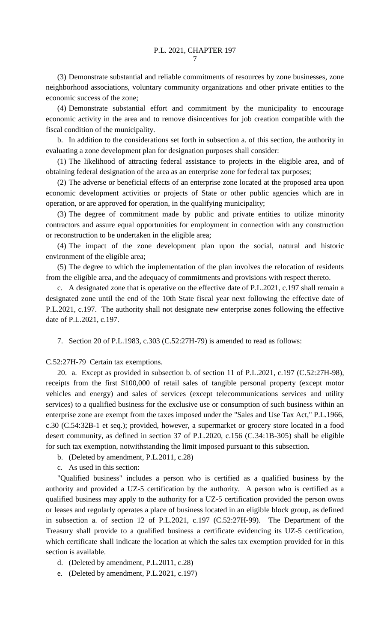(3) Demonstrate substantial and reliable commitments of resources by zone businesses, zone neighborhood associations, voluntary community organizations and other private entities to the economic success of the zone;

(4) Demonstrate substantial effort and commitment by the municipality to encourage economic activity in the area and to remove disincentives for job creation compatible with the fiscal condition of the municipality.

b. In addition to the considerations set forth in subsection a. of this section, the authority in evaluating a zone development plan for designation purposes shall consider:

(1) The likelihood of attracting federal assistance to projects in the eligible area, and of obtaining federal designation of the area as an enterprise zone for federal tax purposes;

(2) The adverse or beneficial effects of an enterprise zone located at the proposed area upon economic development activities or projects of State or other public agencies which are in operation, or are approved for operation, in the qualifying municipality;

(3) The degree of commitment made by public and private entities to utilize minority contractors and assure equal opportunities for employment in connection with any construction or reconstruction to be undertaken in the eligible area;

(4) The impact of the zone development plan upon the social, natural and historic environment of the eligible area;

(5) The degree to which the implementation of the plan involves the relocation of residents from the eligible area, and the adequacy of commitments and provisions with respect thereto.

c. A designated zone that is operative on the effective date of P.L.2021, c.197 shall remain a designated zone until the end of the 10th State fiscal year next following the effective date of P.L.2021, c.197. The authority shall not designate new enterprise zones following the effective date of P.L.2021, c.197.

7. Section 20 of P.L.1983, c.303 (C.52:27H-79) is amended to read as follows:

C.52:27H-79 Certain tax exemptions.

20. a. Except as provided in subsection b. of section 11 of P.L.2021, c.197 (C.52:27H-98), receipts from the first \$100,000 of retail sales of tangible personal property (except motor vehicles and energy) and sales of services (except telecommunications services and utility services) to a qualified business for the exclusive use or consumption of such business within an enterprise zone are exempt from the taxes imposed under the "Sales and Use Tax Act," P.L.1966, c.30 (C.54:32B-1 et seq.); provided, however, a supermarket or grocery store located in a food desert community, as defined in section 37 of P.L.2020, c.156 (C.34:1B-305) shall be eligible for such tax exemption, notwithstanding the limit imposed pursuant to this subsection.

b. (Deleted by amendment, P.L.2011, c.28)

c. As used in this section:

"Qualified business" includes a person who is certified as a qualified business by the authority and provided a UZ-5 certification by the authority. A person who is certified as a qualified business may apply to the authority for a UZ-5 certification provided the person owns or leases and regularly operates a place of business located in an eligible block group, as defined in subsection a. of section 12 of P.L.2021, c.197 (C.52:27H-99). The Department of the Treasury shall provide to a qualified business a certificate evidencing its UZ-5 certification, which certificate shall indicate the location at which the sales tax exemption provided for in this section is available.

d. (Deleted by amendment, P.L.2011, c.28)

e. (Deleted by amendment, P.L.2021, c.197)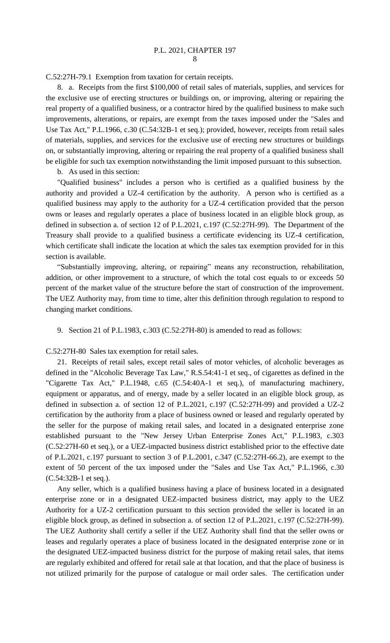C.52:27H-79.1 Exemption from taxation for certain receipts.

8. a. Receipts from the first \$100,000 of retail sales of materials, supplies, and services for the exclusive use of erecting structures or buildings on, or improving, altering or repairing the real property of a qualified business, or a contractor hired by the qualified business to make such improvements, alterations, or repairs, are exempt from the taxes imposed under the "Sales and Use Tax Act," P.L.1966, c.30 (C.54:32B-1 et seq.); provided, however, receipts from retail sales of materials, supplies, and services for the exclusive use of erecting new structures or buildings on, or substantially improving, altering or repairing the real property of a qualified business shall be eligible for such tax exemption notwithstanding the limit imposed pursuant to this subsection.

b. As used in this section:

"Qualified business" includes a person who is certified as a qualified business by the authority and provided a UZ-4 certification by the authority. A person who is certified as a qualified business may apply to the authority for a UZ-4 certification provided that the person owns or leases and regularly operates a place of business located in an eligible block group, as defined in subsection a. of section 12 of P.L.2021, c.197 (C.52:27H-99). The Department of the Treasury shall provide to a qualified business a certificate evidencing its UZ-4 certification, which certificate shall indicate the location at which the sales tax exemption provided for in this section is available.

"Substantially improving, altering, or repairing" means any reconstruction, rehabilitation, addition, or other improvement to a structure, of which the total cost equals to or exceeds 50 percent of the market value of the structure before the start of construction of the improvement. The UEZ Authority may, from time to time, alter this definition through regulation to respond to changing market conditions.

9. Section 21 of P.L.1983, c.303 (C.52:27H-80) is amended to read as follows:

C.52:27H-80 Sales tax exemption for retail sales.

21. Receipts of retail sales, except retail sales of motor vehicles, of alcoholic beverages as defined in the "Alcoholic Beverage Tax Law," R.S.54:41-1 et seq., of cigarettes as defined in the "Cigarette Tax Act," P.L.1948, c.65 (C.54:40A-1 et seq.), of manufacturing machinery, equipment or apparatus, and of energy, made by a seller located in an eligible block group, as defined in subsection a. of section 12 of P.L.2021, c.197 (C.52:27H-99) and provided a UZ-2 certification by the authority from a place of business owned or leased and regularly operated by the seller for the purpose of making retail sales, and located in a designated enterprise zone established pursuant to the "New Jersey Urban Enterprise Zones Act," P.L.1983, c.303 (C.52:27H-60 et seq.), or a UEZ-impacted business district established prior to the effective date of P.L.2021, c.197 pursuant to section 3 of P.L.2001, c.347 (C.52:27H-66.2), are exempt to the extent of 50 percent of the tax imposed under the "Sales and Use Tax Act," P.L.1966, c.30 (C.54:32B-1 et seq.).

Any seller, which is a qualified business having a place of business located in a designated enterprise zone or in a designated UEZ-impacted business district, may apply to the UEZ Authority for a UZ-2 certification pursuant to this section provided the seller is located in an eligible block group, as defined in subsection a. of section 12 of P.L.2021, c.197 (C.52:27H-99). The UEZ Authority shall certify a seller if the UEZ Authority shall find that the seller owns or leases and regularly operates a place of business located in the designated enterprise zone or in the designated UEZ-impacted business district for the purpose of making retail sales, that items are regularly exhibited and offered for retail sale at that location, and that the place of business is not utilized primarily for the purpose of catalogue or mail order sales. The certification under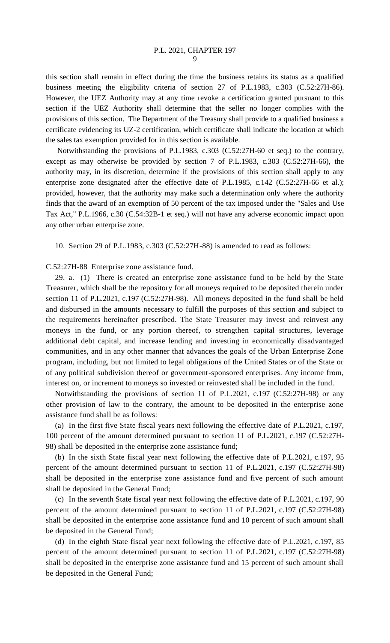this section shall remain in effect during the time the business retains its status as a qualified business meeting the eligibility criteria of section 27 of P.L.1983, c.303 (C.52:27H-86). However, the UEZ Authority may at any time revoke a certification granted pursuant to this section if the UEZ Authority shall determine that the seller no longer complies with the provisions of this section. The Department of the Treasury shall provide to a qualified business a certificate evidencing its UZ-2 certification, which certificate shall indicate the location at which the sales tax exemption provided for in this section is available.

Notwithstanding the provisions of P.L.1983, c.303 (C.52:27H-60 et seq.) to the contrary, except as may otherwise be provided by section 7 of P.L.1983, c.303 (C.52:27H-66), the authority may, in its discretion, determine if the provisions of this section shall apply to any enterprise zone designated after the effective date of P.L.1985, c.142 (C.52:27H-66 et al.); provided, however, that the authority may make such a determination only where the authority finds that the award of an exemption of 50 percent of the tax imposed under the "Sales and Use Tax Act," P.L.1966, c.30 (C.54:32B-1 et seq.) will not have any adverse economic impact upon any other urban enterprise zone.

10. Section 29 of P.L.1983, c.303 (C.52:27H-88) is amended to read as follows:

C.52:27H-88 Enterprise zone assistance fund.

29. a. (1) There is created an enterprise zone assistance fund to be held by the State Treasurer, which shall be the repository for all moneys required to be deposited therein under section 11 of P.L.2021, c.197 (C.52:27H-98). All moneys deposited in the fund shall be held and disbursed in the amounts necessary to fulfill the purposes of this section and subject to the requirements hereinafter prescribed. The State Treasurer may invest and reinvest any moneys in the fund, or any portion thereof, to strengthen capital structures, leverage additional debt capital, and increase lending and investing in economically disadvantaged communities, and in any other manner that advances the goals of the Urban Enterprise Zone program, including, but not limited to legal obligations of the United States or of the State or of any political subdivision thereof or government-sponsored enterprises. Any income from, interest on, or increment to moneys so invested or reinvested shall be included in the fund.

Notwithstanding the provisions of section 11 of P.L.2021, c.197 (C.52:27H-98) or any other provision of law to the contrary, the amount to be deposited in the enterprise zone assistance fund shall be as follows:

(a) In the first five State fiscal years next following the effective date of P.L.2021, c.197, 100 percent of the amount determined pursuant to section 11 of P.L.2021, c.197 (C.52:27H-98) shall be deposited in the enterprise zone assistance fund;

(b) In the sixth State fiscal year next following the effective date of P.L.2021, c.197, 95 percent of the amount determined pursuant to section 11 of P.L.2021, c.197 (C.52:27H-98) shall be deposited in the enterprise zone assistance fund and five percent of such amount shall be deposited in the General Fund;

(c) In the seventh State fiscal year next following the effective date of P.L.2021, c.197, 90 percent of the amount determined pursuant to section 11 of P.L.2021, c.197 (C.52:27H-98) shall be deposited in the enterprise zone assistance fund and 10 percent of such amount shall be deposited in the General Fund;

(d) In the eighth State fiscal year next following the effective date of P.L.2021, c.197, 85 percent of the amount determined pursuant to section 11 of P.L.2021, c.197 (C.52:27H-98) shall be deposited in the enterprise zone assistance fund and 15 percent of such amount shall be deposited in the General Fund;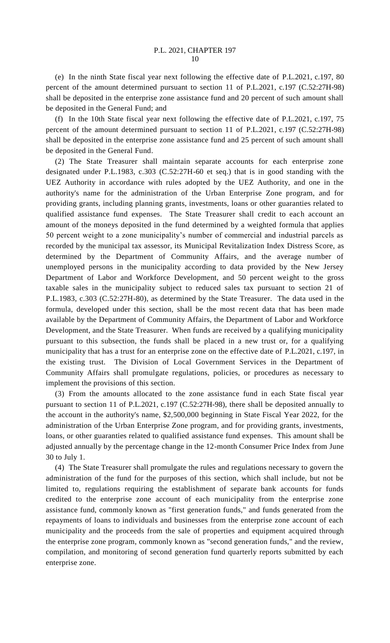(e) In the ninth State fiscal year next following the effective date of P.L.2021, c.197, 80 percent of the amount determined pursuant to section 11 of P.L.2021, c.197 (C.52:27H-98) shall be deposited in the enterprise zone assistance fund and 20 percent of such amount shall be deposited in the General Fund; and

(f) In the 10th State fiscal year next following the effective date of P.L.2021, c.197, 75 percent of the amount determined pursuant to section 11 of P.L.2021, c.197 (C.52:27H-98) shall be deposited in the enterprise zone assistance fund and 25 percent of such amount shall be deposited in the General Fund.

(2) The State Treasurer shall maintain separate accounts for each enterprise zone designated under P.L.1983, c.303 (C.52:27H-60 et seq.) that is in good standing with the UEZ Authority in accordance with rules adopted by the UEZ Authority, and one in the authority's name for the administration of the Urban Enterprise Zone program, and for providing grants, including planning grants, investments, loans or other guaranties related to qualified assistance fund expenses. The State Treasurer shall credit to each account an amount of the moneys deposited in the fund determined by a weighted formula that applies 50 percent weight to a zone municipality's number of commercial and industrial parcels as recorded by the municipal tax assessor, its Municipal Revitalization Index Distress Score, as determined by the Department of Community Affairs, and the average number of unemployed persons in the municipality according to data provided by the New Jersey Department of Labor and Workforce Development, and 50 percent weight to the gross taxable sales in the municipality subject to reduced sales tax pursuant to section 21 of P.L.1983, c.303 (C.52:27H-80), as determined by the State Treasurer. The data used in the formula, developed under this section, shall be the most recent data that has been made available by the Department of Community Affairs, the Department of Labor and Workforce Development, and the State Treasurer. When funds are received by a qualifying municipality pursuant to this subsection, the funds shall be placed in a new trust or, for a qualifying municipality that has a trust for an enterprise zone on the effective date of P.L.2021, c.197, in the existing trust. The Division of Local Government Services in the Department of Community Affairs shall promulgate regulations, policies, or procedures as necessary to implement the provisions of this section.

(3) From the amounts allocated to the zone assistance fund in each State fiscal year pursuant to section 11 of P.L.2021, c.197 (C.52:27H-98), there shall be deposited annually to the account in the authority's name, \$2,500,000 beginning in State Fiscal Year 2022, for the administration of the Urban Enterprise Zone program, and for providing grants, investments, loans, or other guaranties related to qualified assistance fund expenses. This amount shall be adjusted annually by the percentage change in the 12-month Consumer Price Index from June 30 to July 1.

(4) The State Treasurer shall promulgate the rules and regulations necessary to govern the administration of the fund for the purposes of this section, which shall include, but not be limited to, regulations requiring the establishment of separate bank accounts for funds credited to the enterprise zone account of each municipality from the enterprise zone assistance fund, commonly known as "first generation funds," and funds generated from the repayments of loans to individuals and businesses from the enterprise zone account of each municipality and the proceeds from the sale of properties and equipment acquired through the enterprise zone program, commonly known as "second generation funds," and the review, compilation, and monitoring of second generation fund quarterly reports submitted by each enterprise zone.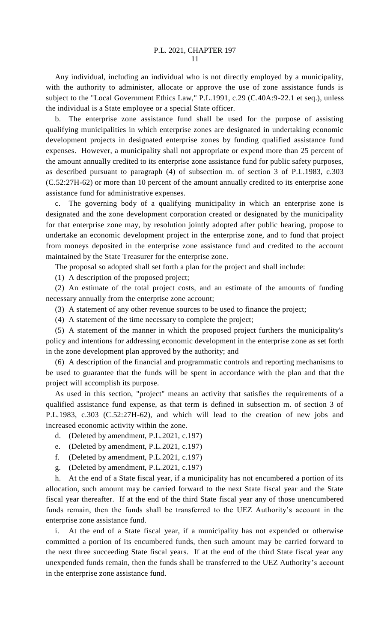Any individual, including an individual who is not directly employed by a municipality, with the authority to administer, allocate or approve the use of zone assistance funds is subject to the "Local Government Ethics Law," P.L.1991, c.29 (C.40A:9-22.1 et seq.), unless the individual is a State employee or a special State officer.

b. The enterprise zone assistance fund shall be used for the purpose of assisting qualifying municipalities in which enterprise zones are designated in undertaking economic development projects in designated enterprise zones by funding qualified assistance fund expenses. However, a municipality shall not appropriate or expend more than 25 percent of the amount annually credited to its enterprise zone assistance fund for public safety purposes, as described pursuant to paragraph (4) of subsection m. of section 3 of P.L.1983, c.303 (C.52:27H-62) or more than 10 percent of the amount annually credited to its enterprise zone assistance fund for administrative expenses.

The governing body of a qualifying municipality in which an enterprise zone is designated and the zone development corporation created or designated by the municipality for that enterprise zone may, by resolution jointly adopted after public hearing, propose to undertake an economic development project in the enterprise zone, and to fund that project from moneys deposited in the enterprise zone assistance fund and credited to the account maintained by the State Treasurer for the enterprise zone.

The proposal so adopted shall set forth a plan for the project and shall include:

(1) A description of the proposed project;

(2) An estimate of the total project costs, and an estimate of the amounts of funding necessary annually from the enterprise zone account;

(3) A statement of any other revenue sources to be used to finance the project;

(4) A statement of the time necessary to complete the project;

(5) A statement of the manner in which the proposed project furthers the municipality's policy and intentions for addressing economic development in the enterprise zone as set forth in the zone development plan approved by the authority; and

(6) A description of the financial and programmatic controls and reporting mechanisms to be used to guarantee that the funds will be spent in accordance with the plan and that the project will accomplish its purpose.

As used in this section, "project" means an activity that satisfies the requirements of a qualified assistance fund expense, as that term is defined in subsection m. of section 3 of P.L.1983, c.303 (C.52:27H-62), and which will lead to the creation of new jobs and increased economic activity within the zone.

- d. (Deleted by amendment, P.L.2021, c.197)
- e. (Deleted by amendment, P.L.2021, c.197)
- f. (Deleted by amendment, P.L.2021, c.197)
- g. (Deleted by amendment, P.L.2021, c.197)

h. At the end of a State fiscal year, if a municipality has not encumbered a portion of its allocation, such amount may be carried forward to the next State fiscal year and the State fiscal year thereafter. If at the end of the third State fiscal year any of those unencumbered funds remain, then the funds shall be transferred to the UEZ Authority's account in the enterprise zone assistance fund.

i. At the end of a State fiscal year, if a municipality has not expended or otherwise committed a portion of its encumbered funds, then such amount may be carried forward to the next three succeeding State fiscal years. If at the end of the third State fiscal year any unexpended funds remain, then the funds shall be transferred to the UEZ Authority's account in the enterprise zone assistance fund.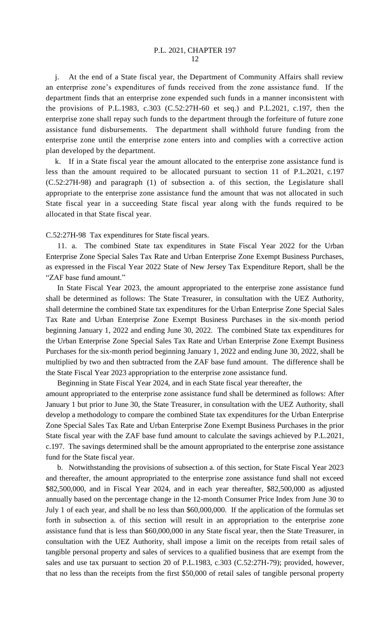### P.L. 2021, CHAPTER 197  $12$

j. At the end of a State fiscal year, the Department of Community Affairs shall review an enterprise zone's expenditures of funds received from the zone assistance fund. If the department finds that an enterprise zone expended such funds in a manner inconsistent with the provisions of P.L.1983, c.303 (C.52:27H-60 et seq.) and P.L.2021, c.197, then the enterprise zone shall repay such funds to the department through the forfeiture of future zone assistance fund disbursements. The department shall withhold future funding from the enterprise zone until the enterprise zone enters into and complies with a corrective action plan developed by the department.

k. If in a State fiscal year the amount allocated to the enterprise zone assistance fund is less than the amount required to be allocated pursuant to section 11 of P.L.2021, c.197 (C.52:27H-98) and paragraph (1) of subsection a. of this section, the Legislature shall appropriate to the enterprise zone assistance fund the amount that was not allocated in such State fiscal year in a succeeding State fiscal year along with the funds required to be allocated in that State fiscal year.

C.52:27H-98 Tax expenditures for State fiscal years.

11. a. The combined State tax expenditures in State Fiscal Year 2022 for the Urban Enterprise Zone Special Sales Tax Rate and Urban Enterprise Zone Exempt Business Purchases, as expressed in the Fiscal Year 2022 State of New Jersey Tax Expenditure Report, shall be the "ZAF base fund amount."

In State Fiscal Year 2023, the amount appropriated to the enterprise zone assistance fund shall be determined as follows: The State Treasurer, in consultation with the UEZ Authority, shall determine the combined State tax expenditures for the Urban Enterprise Zone Special Sales Tax Rate and Urban Enterprise Zone Exempt Business Purchases in the six-month period beginning January 1, 2022 and ending June 30, 2022. The combined State tax expenditures for the Urban Enterprise Zone Special Sales Tax Rate and Urban Enterprise Zone Exempt Business Purchases for the six-month period beginning January 1, 2022 and ending June 30, 2022, shall be multiplied by two and then subtracted from the ZAF base fund amount. The difference shall be the State Fiscal Year 2023 appropriation to the enterprise zone assistance fund.

Beginning in State Fiscal Year 2024, and in each State fiscal year thereafter, the amount appropriated to the enterprise zone assistance fund shall be determined as follows: After January 1 but prior to June 30, the State Treasurer, in consultation with the UEZ Authority, shall develop a methodology to compare the combined State tax expenditures for the Urban Enterprise Zone Special Sales Tax Rate and Urban Enterprise Zone Exempt Business Purchases in the prior State fiscal year with the ZAF base fund amount to calculate the savings achieved by P.L.2021, c.197. The savings determined shall be the amount appropriated to the enterprise zone assistance fund for the State fiscal year.

b. Notwithstanding the provisions of subsection a. of this section, for State Fiscal Year 2023 and thereafter, the amount appropriated to the enterprise zone assistance fund shall not exceed \$82,500,000, and in Fiscal Year 2024, and in each year thereafter, \$82,500,000 as adjusted annually based on the percentage change in the 12-month Consumer Price Index from June 30 to July 1 of each year, and shall be no less than \$60,000,000. If the application of the formulas set forth in subsection a. of this section will result in an appropriation to the enterprise zone assistance fund that is less than \$60,000,000 in any State fiscal year, then the State Treasurer, in consultation with the UEZ Authority, shall impose a limit on the receipts from retail sales of tangible personal property and sales of services to a qualified business that are exempt from the sales and use tax pursuant to section 20 of P.L.1983, c.303 (C.52:27H-79); provided, however, that no less than the receipts from the first \$50,000 of retail sales of tangible personal property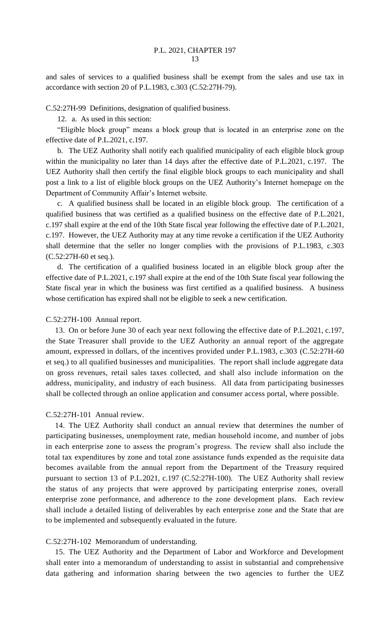and sales of services to a qualified business shall be exempt from the sales and use tax in accordance with section 20 of P.L.1983, c.303 (C.52:27H-79).

C.52:27H-99 Definitions, designation of qualified business.

12. a. As used in this section:

"Eligible block group" means a block group that is located in an enterprise zone on the effective date of P.L.2021, c.197.

b. The UEZ Authority shall notify each qualified municipality of each eligible block group within the municipality no later than 14 days after the effective date of P.L.2021, c.197. The UEZ Authority shall then certify the final eligible block groups to each municipality and shall post a link to a list of eligible block groups on the UEZ Authority's Internet homepage on the Department of Community Affair's Internet website.

c. A qualified business shall be located in an eligible block group. The certification of a qualified business that was certified as a qualified business on the effective date of P.L.2021, c.197 shall expire at the end of the 10th State fiscal year following the effective date of P.L.2021, c.197. However, the UEZ Authority may at any time revoke a certification if the UEZ Authority shall determine that the seller no longer complies with the provisions of P.L.1983, c.303 (C.52:27H-60 et seq.).

d. The certification of a qualified business located in an eligible block group after the effective date of P.L.2021, c.197 shall expire at the end of the 10th State fiscal year following the State fiscal year in which the business was first certified as a qualified business. A business whose certification has expired shall not be eligible to seek a new certification.

C.52:27H-100 Annual report.

13. On or before June 30 of each year next following the effective date of P.L.2021, c.197, the State Treasurer shall provide to the UEZ Authority an annual report of the aggregate amount, expressed in dollars, of the incentives provided under P.L.1983, c.303 (C.52:27H-60 et seq.) to all qualified businesses and municipalities. The report shall include aggregate data on gross revenues, retail sales taxes collected, and shall also include information on the address, municipality, and industry of each business. All data from participating businesses shall be collected through an online application and consumer access portal, where possible.

### C.52:27H-101 Annual review.

14. The UEZ Authority shall conduct an annual review that determines the number of participating businesses, unemployment rate, median household income, and number of jobs in each enterprise zone to assess the program's progress. The review shall also include the total tax expenditures by zone and total zone assistance funds expended as the requisite data becomes available from the annual report from the Department of the Treasury required pursuant to section 13 of P.L.2021, c.197 (C.52:27H-100). The UEZ Authority shall review the status of any projects that were approved by participating enterprise zones, overall enterprise zone performance, and adherence to the zone development plans. Each review shall include a detailed listing of deliverables by each enterprise zone and the State that are to be implemented and subsequently evaluated in the future.

#### C.52:27H-102 Memorandum of understanding.

15. The UEZ Authority and the Department of Labor and Workforce and Development shall enter into a memorandum of understanding to assist in substantial and comprehensive data gathering and information sharing between the two agencies to further the UEZ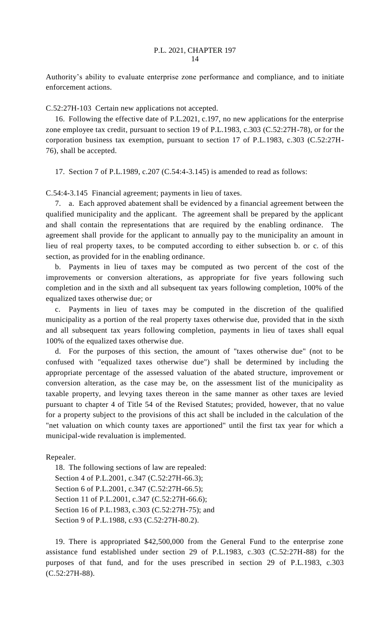Authority's ability to evaluate enterprise zone performance and compliance, and to initiate enforcement actions.

C.52:27H-103 Certain new applications not accepted.

16. Following the effective date of P.L.2021, c.197, no new applications for the enterprise zone employee tax credit, pursuant to section 19 of P.L.1983, c.303 (C.52:27H-78), or for the corporation business tax exemption, pursuant to section 17 of P.L.1983, c.303 (C.52:27H-76), shall be accepted.

17. Section 7 of P.L.1989, c.207 (C.54:4-3.145) is amended to read as follows:

C.54:4-3.145 Financial agreement; payments in lieu of taxes.

7. a. Each approved abatement shall be evidenced by a financial agreement between the qualified municipality and the applicant. The agreement shall be prepared by the applicant and shall contain the representations that are required by the enabling ordinance. The agreement shall provide for the applicant to annually pay to the municipality an amount in lieu of real property taxes, to be computed according to either subsection b. or c. of this section, as provided for in the enabling ordinance.

b. Payments in lieu of taxes may be computed as two percent of the cost of the improvements or conversion alterations, as appropriate for five years following such completion and in the sixth and all subsequent tax years following completion, 100% of the equalized taxes otherwise due; or

c. Payments in lieu of taxes may be computed in the discretion of the qualified municipality as a portion of the real property taxes otherwise due, provided that in the sixth and all subsequent tax years following completion, payments in lieu of taxes shall equal 100% of the equalized taxes otherwise due.

d. For the purposes of this section, the amount of "taxes otherwise due" (not to be confused with "equalized taxes otherwise due") shall be determined by including the appropriate percentage of the assessed valuation of the abated structure, improvement or conversion alteration, as the case may be, on the assessment list of the municipality as taxable property, and levying taxes thereon in the same manner as other taxes are levied pursuant to chapter 4 of Title 54 of the Revised Statutes; provided, however, that no value for a property subject to the provisions of this act shall be included in the calculation of the "net valuation on which county taxes are apportioned" until the first tax year for which a municipal-wide revaluation is implemented.

Repealer.

18. The following sections of law are repealed: Section 4 of P.L.2001, c.347 (C.52:27H-66.3); Section 6 of P.L.2001, c.347 (C.52:27H-66.5); Section 11 of P.L.2001, c.347 (C.52:27H-66.6); Section 16 of P.L.1983, c.303 (C.52:27H-75); and Section 9 of P.L.1988, c.93 (C.52:27H-80.2).

19. There is appropriated \$42,500,000 from the General Fund to the enterprise zone assistance fund established under section 29 of P.L.1983, c.303 (C.52:27H-88) for the purposes of that fund, and for the uses prescribed in section 29 of P.L.1983, c.303 (C.52:27H-88).